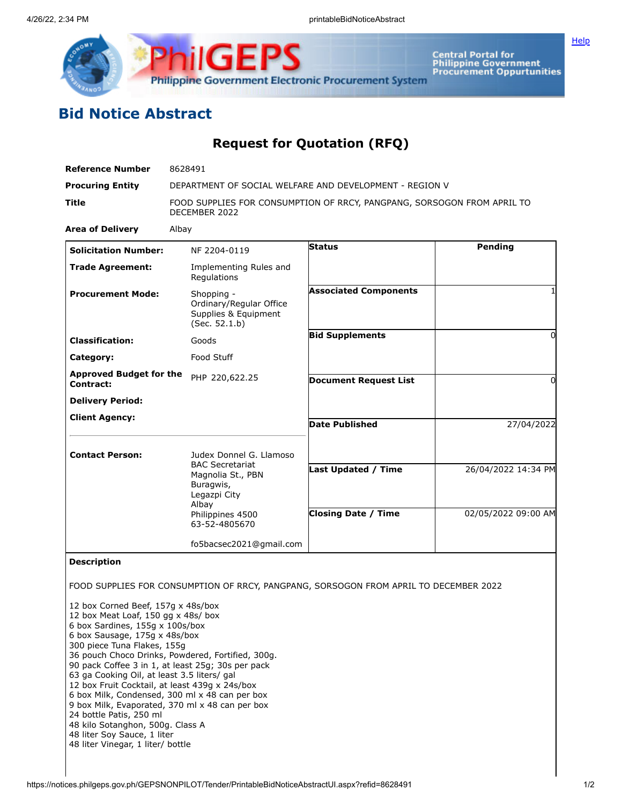

## **Bid Notice Abstract**

## **Request for Quotation (RFQ)**

| Reference Number                                                                                                                                                                                                                                                                                                  | 8628491                                                                                                                                           |                                                                                       |                     |
|-------------------------------------------------------------------------------------------------------------------------------------------------------------------------------------------------------------------------------------------------------------------------------------------------------------------|---------------------------------------------------------------------------------------------------------------------------------------------------|---------------------------------------------------------------------------------------|---------------------|
| <b>Procuring Entity</b>                                                                                                                                                                                                                                                                                           | DEPARTMENT OF SOCIAL WELFARE AND DEVELOPMENT - REGION V                                                                                           |                                                                                       |                     |
| Title                                                                                                                                                                                                                                                                                                             | FOOD SUPPLIES FOR CONSUMPTION OF RRCY, PANGPANG, SORSOGON FROM APRIL TO<br>DECEMBER 2022                                                          |                                                                                       |                     |
| <b>Area of Delivery</b>                                                                                                                                                                                                                                                                                           | Albay                                                                                                                                             |                                                                                       |                     |
| <b>Solicitation Number:</b>                                                                                                                                                                                                                                                                                       | NF 2204-0119                                                                                                                                      | <b>Status</b>                                                                         | Pending             |
| <b>Trade Agreement:</b>                                                                                                                                                                                                                                                                                           | Implementing Rules and<br>Regulations                                                                                                             |                                                                                       |                     |
| <b>Procurement Mode:</b>                                                                                                                                                                                                                                                                                          | Shopping -<br>Ordinary/Regular Office<br>Supplies & Equipment<br>(Sec. 52.1.b)                                                                    | <b>Associated Components</b>                                                          |                     |
| <b>Classification:</b>                                                                                                                                                                                                                                                                                            | Goods                                                                                                                                             | <b>Bid Supplements</b>                                                                | 0                   |
| Category:                                                                                                                                                                                                                                                                                                         | Food Stuff                                                                                                                                        |                                                                                       |                     |
| <b>Approved Budget for the</b><br>Contract:                                                                                                                                                                                                                                                                       | PHP 220,622.25                                                                                                                                    | <b>Document Request List</b>                                                          | 0                   |
| <b>Delivery Period:</b>                                                                                                                                                                                                                                                                                           |                                                                                                                                                   |                                                                                       |                     |
| <b>Client Agency:</b>                                                                                                                                                                                                                                                                                             |                                                                                                                                                   | <b>Date Published</b>                                                                 | 27/04/2022          |
| <b>Contact Person:</b>                                                                                                                                                                                                                                                                                            | Judex Donnel G. Llamoso<br><b>BAC Secretariat</b><br>Magnolia St., PBN<br>Buragwis,<br>Legazpi City<br>Albay<br>Philippines 4500<br>63-52-4805670 | <b>Last Updated / Time</b>                                                            | 26/04/2022 14:34 PM |
|                                                                                                                                                                                                                                                                                                                   |                                                                                                                                                   | <b>Closing Date / Time</b>                                                            | 02/05/2022 09:00 AM |
|                                                                                                                                                                                                                                                                                                                   | fo5bacsec2021@gmail.com                                                                                                                           |                                                                                       |                     |
| <b>Description</b>                                                                                                                                                                                                                                                                                                |                                                                                                                                                   |                                                                                       |                     |
| 12 box Corned Beef, 157g x 48s/box<br>12 box Meat Loaf, 150 gg x 48s/ box<br>6 box Sardines, 155g x 100s/box<br>6 box Sausage, 175g x 48s/box                                                                                                                                                                     |                                                                                                                                                   | FOOD SUPPLIES FOR CONSUMPTION OF RRCY, PANGPANG, SORSOGON FROM APRIL TO DECEMBER 2022 |                     |
| 300 piece Tuna Flakes, 155g<br>90 pack Coffee 3 in 1, at least 25g; 30s per pack<br>63 ga Cooking Oil, at least 3.5 liters/ gal<br>12 box Fruit Cocktail, at least 439q x 24s/box<br>6 box Milk, Condensed, 300 ml x 48 can per box<br>9 box Milk, Evaporated, 370 ml x 48 can per box<br>24 bottle Patis, 250 ml | 36 pouch Choco Drinks, Powdered, Fortified, 300g.                                                                                                 |                                                                                       |                     |

48 kilo Sotanghon, 500g. Class A 48 liter Soy Sauce, 1 liter

48 liter Vinegar, 1 liter/ bottle

**[Help](javascript:void(window.open()**